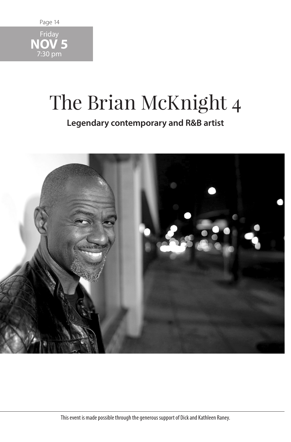

## The Brian McKnight 4

**Legendary contemporary and R&B artist**